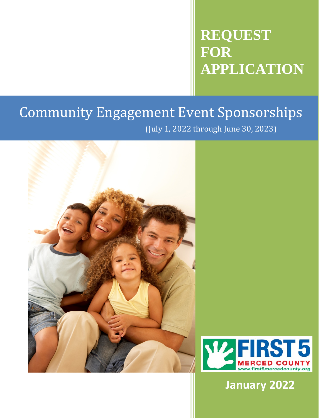# **REQUEST FOR APPLICATION**

## (July 1, 2022 through June 30, 2023) Community Engagement Event Sponsorships





**January 2022**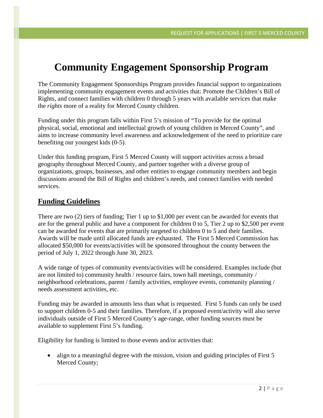### **Community Engagement Sponsorship Program**

The Community Engagement Sponsorships Program provides financial support to organizations implementing community engagement events and activities that: Promote the Children's Bill of Rights, and connect families with children 0 through 5 years with available services that make the *rights* more of a reality for Merced County children.

Funding under this program falls within First 5's mission of "To provide for the optimal physical, social, emotional and intellectual growth of young children in Merced County", and aims to increase community level awareness and acknowledgement of the need to prioritize care benefiting our youngest kids (0-5).

Under this funding program, First 5 Merced County will support activities across a broad geography throughout Merced County, and partner together with a diverse group of organizations, groups, businesses, and other entities to engage community members and begin discussions around the Bill of Rights and children's needs, and connect families with needed services.

### **Funding Guidelines**

There are two (2) tiers of funding; Tier 1 up to \$1,000 per event can be awarded for events that are for the general public and have a component for children 0 to 5, Tier 2 up to \$2,500 per event can be awarded for events that are primarily targeted to children 0 to 5 and their families. Awards will be made until allocated funds are exhausted. The First 5 Merced Commission has allocated \$50,000 for events/activities will be sponsored throughout the county between the period of July 1, 2022 through June 30, 2023.

A wide range of types of community events/activities will be considered. Examples include (but are not limited to) community health / resource fairs, town hall meetings, community / neighborhood celebrations, parent / family activities, employee events, community planning / needs assessment activities, etc.

Funding may be awarded in amounts less than what is requested. First 5 funds can only be used to support children 0-5 and their families. Therefore, if a proposed event/activity will also serve individuals outside of First 5 Merced County's age-range, other funding sources must be available to supplement First 5's funding.

Eligibility for funding is limited to those events and/or activities that:

• align to a meaningful degree with the mission, vision and guiding principles of First 5 Merced County;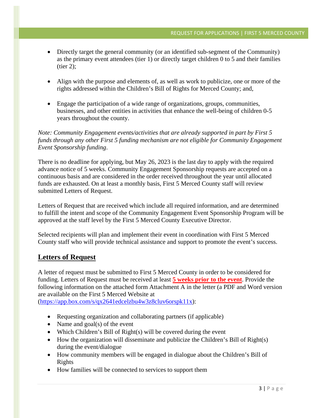- Directly target the general community (or an identified sub-segment of the Community) as the primary event attendees (tier 1) or directly target children 0 to 5 and their families  $(tier 2)$ ;
- Align with the purpose and elements of, as well as work to publicize, one or more of the rights addressed within the Children's Bill of Rights for Merced County; and,
- Engage the participation of a wide range of organizations, groups, communities, businesses, and other entities in activities that enhance the well-being of children 0-5 years throughout the county.

### *Note: Community Engagement events/activities that are already supported in part by First 5 funds through any other First 5 funding mechanism are not eligible for Community Engagement Event Sponsorship funding*.

There is no deadline for applying, but May 26, 2023 is the last day to apply with the required advance notice of 5 weeks. Community Engagement Sponsorship requests are accepted on a continuous basis and are considered in the order received throughout the year until allocated funds are exhausted. On at least a monthly basis, First 5 Merced County staff will review submitted Letters of Request.

Letters of Request that are received which include all required information, and are determined to fulfill the intent and scope of the Community Engagement Event Sponsorship Program will be approved at the staff level by the First 5 Merced County Executive Director.

Selected recipients will plan and implement their event in coordination with First 5 Merced County staff who will provide technical assistance and support to promote the event's success.

### **Letters of Request**

A letter of request must be submitted to First 5 Merced County in order to be considered for funding. Letters of Request must be received at least **5 weeks prior to the event**. Provide the following information on the attached form Attachment A in the letter (a PDF and Word version are available on the First 5 Merced Website at

[\(https://app.box.com/s/qx2641edcelzbu4w3z8cluv6orspk11x\)](https://app.box.com/s/qx2641edcelzbu4w3z8cluv6orspk11x):

- Requesting organization and collaborating partners (if applicable)
- Name and goal(s) of the event
- Which Children's Bill of Right(s) will be covered during the event
- How the organization will disseminate and publicize the Children's Bill of Right(s) during the event/dialogue
- How community members will be engaged in dialogue about the Children's Bill of Rights
- How families will be connected to services to support them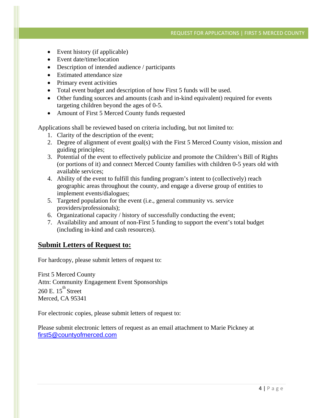- Event history (if applicable)
- Event date/time/location
- Description of intended audience / participants
- Estimated attendance size
- Primary event activities
- Total event budget and description of how First 5 funds will be used.
- Other funding sources and amounts (cash and in-kind equivalent) required for events targeting children beyond the ages of 0-5.
- Amount of First 5 Merced County funds requested

Applications shall be reviewed based on criteria including, but not limited to:

- 1. Clarity of the description of the event;
- 2. Degree of alignment of event goal(s) with the First 5 Merced County vision, mission and guiding principles;
- 3. Potential of the event to effectively publicize and promote the Children's Bill of Rights (or portions of it) and connect Merced County families with children 0-5 years old with available services;
- 4. Ability of the event to fulfill this funding program's intent to (collectively) reach geographic areas throughout the county, and engage a diverse group of entities to implement events/dialogues;
- 5. Targeted population for the event (i.e., general community vs. service providers/professionals);
- 6. Organizational capacity / history of successfully conducting the event;
- 7. Availability and amount of non-First 5 funding to support the event's total budget (including in-kind and cash resources).

### **Submit Letters of Request to:**

For hardcopy, please submit letters of request to:

First 5 Merced County Attn: Community Engagement Event Sponsorships 260 E.  $15^{\text{th}}$  Street Merced, CA 95341

For electronic copies, please submit letters of request to:

Please submit electronic letters of request as an email attachment to Marie Pickney at [first5@countyofmerced.com](mailto:first5@countyofmerced.com)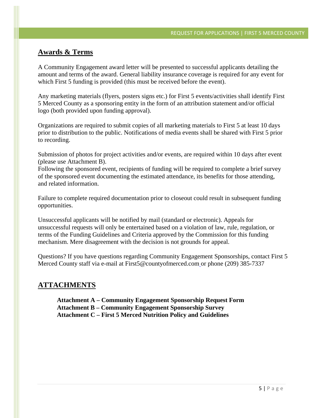### **Awards & Terms**

A Community Engagement award letter will be presented to successful applicants detailing the amount and terms of the award. General liability insurance coverage is required for any event for which First 5 funding is provided (this must be received before the event).

Any marketing materials (flyers, posters signs etc.) for First 5 events/activities shall identify First 5 Merced County as a sponsoring entity in the form of an attribution statement and/or official logo (both provided upon funding approval).

Organizations are required to submit copies of all marketing materials to First 5 at least 10 days prior to distribution to the public. Notifications of media events shall be shared with First 5 prior to recording.

Submission of photos for project activities and/or events, are required within 10 days after event (please use Attachment B).

Following the sponsored event, recipients of funding will be required to complete a brief survey of the sponsored event documenting the estimated attendance, its benefits for those attending, and related information.

Failure to complete required documentation prior to closeout could result in subsequent funding opportunities.

Unsuccessful applicants will be notified by mail (standard or electronic). Appeals for unsuccessful requests will only be entertained based on a violation of law, rule, regulation, or terms of the Funding Guidelines and Criteria approved by the Commission for this funding mechanism. Mere disagreement with the decision is not grounds for appeal.

Questions? If you have questions regarding Community Engagement Sponsorships, contact First 5 Merced County staff via e-mail at First5@countyofmerced.com or phone (209) 385-7337

### **ATTACHMENTS**

**Attachment A – Community Engagement Sponsorship Request Form Attachment B – Community Engagement Sponsorship Survey Attachment C – First 5 Merced Nutrition Policy and Guidelines**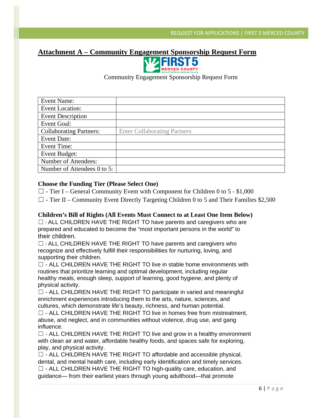### **Attachment A – Community Engagement Sponsorship Request Form**



Community Engagement Sponsorship Request Form

| <b>Event Name:</b>             |                                     |
|--------------------------------|-------------------------------------|
| <b>Event Location:</b>         |                                     |
| <b>Event Description</b>       |                                     |
| Event Goal:                    |                                     |
| <b>Collaborating Partners:</b> | <b>Enter Collaborating Partners</b> |
| <b>Event Date:</b>             |                                     |
| Event Time:                    |                                     |
| Event Budget:                  |                                     |
| Number of Attendees:           |                                     |
| Number of Attendees 0 to 5:    |                                     |

### **Choose the Funding Tier (Please Select One)**

- $\Box$  Tier I General Community Event with Component for Children 0 to 5 \$1,000
- $\Box$  Tier II Community Event Directly Targeting Children 0 to 5 and Their Families \$2,500

#### **Children's Bill of Rights (All Events Must Connect to at Least One Item Below)**

 $\Box$  - ALL CHILDREN HAVE THE RIGHT TO have parents and caregivers who are prepared and educated to become the "most important persons in the world" to their children.

☐ - ALL CHILDREN HAVE THE RIGHT TO have parents and caregivers who recognize and effectively fulfill their responsibilities for nurturing, loving, and supporting their children.

□ - ALL CHILDREN HAVE THE RIGHT TO live in stable home environments with routines that prioritize learning and optimal development, including regular healthy meals, enough sleep, support of learning, good hygiene, and plenty of physical activity.

 $\Box$  - ALL CHILDREN HAVE THE RIGHT TO participate in varied and meaningful enrichment experiences introducing them to the arts, nature, sciences, and cultures, which demonstrate life's beauty, richness, and human potential.

 $\Box$  - ALL CHILDREN HAVE THE RIGHT TO live in homes free from mistreatment, abuse, and neglect, and in communities without violence, drug use, and gang influence.

 $\Box$  - ALL CHILDREN HAVE THE RIGHT TO live and grow in a healthy environment with clean air and water, affordable healthy foods, and spaces safe for exploring, play, and physical activity.

 $\Box$  - ALL CHILDREN HAVE THE RIGHT TO affordable and accessible physical, dental, and mental health care, including early identification and timely services. ☐ - ALL CHILDREN HAVE THE RIGHT TO high-quality care, education, and guidance— from their earliest years through young adulthood—that promote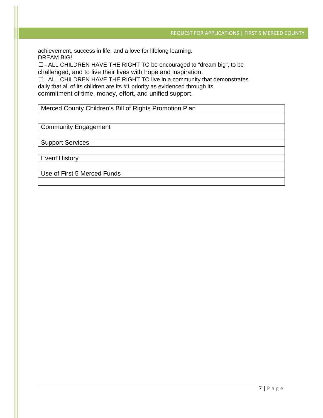achievement, success in life, and a love for lifelong learning. DREAM BIG!

☐ - ALL CHILDREN HAVE THE RIGHT TO be encouraged to "dream big", to be challenged, and to live their lives with hope and inspiration.

☐ - ALL CHILDREN HAVE THE RIGHT TO live in a community that demonstrates daily that all of its children are its #1 priority as evidenced through its commitment of time, money, effort, and unified support.

Merced County Children's Bill of Rights Promotion Plan

Community Engagement

Support Services

Event History

Use of First 5 Merced Funds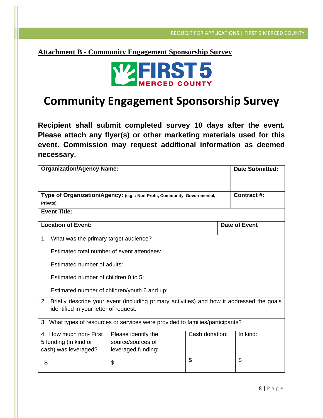**Attachment B - Community Engagement Sponsorship Survey**



### **Community Engagement Sponsorship Survey**

**Recipient shall submit completed survey 10 days after the event. Please attach any flyer(s) or other marketing materials used for this event. Commission may request additional information as deemed necessary.** 

| <b>Organization/Agency Name:</b>                                                                |                     |                |               | <b>Date Submitted:</b> |  |
|-------------------------------------------------------------------------------------------------|---------------------|----------------|---------------|------------------------|--|
|                                                                                                 |                     |                |               |                        |  |
| Type of Organization/Agency: (e.g. : Non-Profit, Community, Governmental,                       |                     |                |               | Contract #:            |  |
| Private)                                                                                        |                     |                |               |                        |  |
| <b>Event Title:</b>                                                                             |                     |                |               |                        |  |
| <b>Location of Event:</b>                                                                       |                     |                | Date of Event |                        |  |
| 1. What was the primary target audience?                                                        |                     |                |               |                        |  |
| Estimated total number of event attendees:                                                      |                     |                |               |                        |  |
| Estimated number of adults:                                                                     |                     |                |               |                        |  |
| Estimated number of children 0 to 5:                                                            |                     |                |               |                        |  |
| Estimated number of children/youth 6 and up:                                                    |                     |                |               |                        |  |
| Briefly describe your event (including primary activities) and how it addressed the goals<br>2. |                     |                |               |                        |  |
| identified in your letter of request.                                                           |                     |                |               |                        |  |
| 3. What types of resources or services were provided to families/participants?                  |                     |                |               |                        |  |
| 4. How much non- First                                                                          | Please identify the | Cash donation: |               | In kind:               |  |
| 5 funding (in kind or                                                                           | source/sources of   |                |               |                        |  |
| cash) was leveraged?                                                                            | leveraged funding:  |                |               |                        |  |
| \$                                                                                              | \$                  | \$             |               | \$                     |  |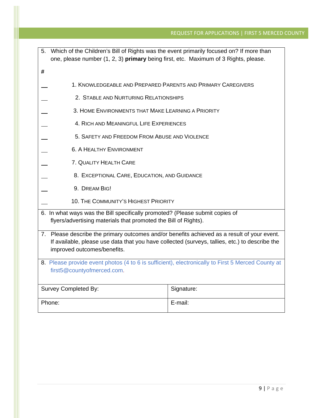| 5. Which of the Children's Bill of Rights was the event primarily focused on? If more than<br>one, please number (1, 2, 3) primary being first, etc. Maximum of 3 Rights, please.                                            |                                                              |  |  |  |  |
|------------------------------------------------------------------------------------------------------------------------------------------------------------------------------------------------------------------------------|--------------------------------------------------------------|--|--|--|--|
| #                                                                                                                                                                                                                            |                                                              |  |  |  |  |
|                                                                                                                                                                                                                              | 1. KNOWLEDGEABLE AND PREPARED PARENTS AND PRIMARY CAREGIVERS |  |  |  |  |
|                                                                                                                                                                                                                              | 2. STABLE AND NURTURING RELATIONSHIPS                        |  |  |  |  |
|                                                                                                                                                                                                                              | 3. HOME ENVIRONMENTS THAT MAKE LEARNING A PRIORITY           |  |  |  |  |
| 4. RICH AND MEANINGFUL LIFE EXPERIENCES                                                                                                                                                                                      |                                                              |  |  |  |  |
| 5. SAFETY AND FREEDOM FROM ABUSE AND VIOLENCE                                                                                                                                                                                |                                                              |  |  |  |  |
| <b>6. A HEALTHY ENVIRONMENT</b>                                                                                                                                                                                              |                                                              |  |  |  |  |
| 7. QUALITY HEALTH CARE                                                                                                                                                                                                       |                                                              |  |  |  |  |
|                                                                                                                                                                                                                              | 8. EXCEPTIONAL CARE, EDUCATION, AND GUIDANCE                 |  |  |  |  |
| 9. DREAM BIG!                                                                                                                                                                                                                |                                                              |  |  |  |  |
|                                                                                                                                                                                                                              | 10. THE COMMUNITY'S HIGHEST PRIORITY                         |  |  |  |  |
| 6. In what ways was the Bill specifically promoted? (Please submit copies of<br>flyers/advertising materials that promoted the Bill of Rights).                                                                              |                                                              |  |  |  |  |
| 7. Please describe the primary outcomes and/or benefits achieved as a result of your event.<br>If available, please use data that you have collected (surveys, tallies, etc.) to describe the<br>improved outcomes/benefits. |                                                              |  |  |  |  |
| 8. Please provide event photos (4 to 6 is sufficient), electronically to First 5 Merced County at<br>first5@countyofmerced.com.                                                                                              |                                                              |  |  |  |  |
|                                                                                                                                                                                                                              |                                                              |  |  |  |  |
| Survey Completed By:                                                                                                                                                                                                         | Signature:                                                   |  |  |  |  |
| Phone:                                                                                                                                                                                                                       | E-mail:                                                      |  |  |  |  |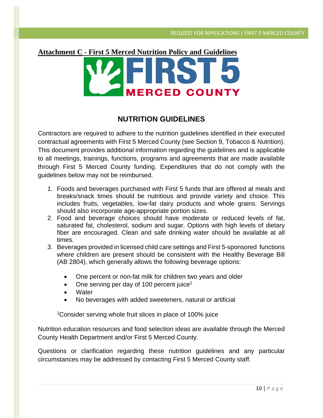# **Attachment C - First 5 Merced Nutrition Policy and Guidelines ERCED COUNTY**

### **NUTRITION GUIDELINES**

Contractors are required to adhere to the nutrition guidelines identified in their executed contractual agreements with First 5 Merced County (see Section 9, Tobacco & Nutrition). This document provides additional information regarding the guidelines and is applicable to all meetings, trainings, functions, programs and agreements that are made available through First 5 Merced County funding. Expenditures that do not comply with the guidelines below may not be reimbursed.

- 1. Foods and beverages purchased with First 5 funds that are offered at meals and breaks/snack times should be nutritious and provide variety and choice. This includes fruits, vegetables, low-fat dairy products and whole grains. Servings should also incorporate age-appropriate portion sizes.
- 2. Food and beverage choices should have moderate or reduced levels of fat, saturated fat, cholesterol, sodium and sugar. Options with high levels of dietary fiber are encouraged. Clean and safe drinking water should be available at all times.
- 3. Beverages provided in licensed child care settings and First 5-sponsored functions where children are present should be consistent with the Healthy Beverage Bill (AB 2804), which generally allows the following beverage options:
	- One percent or non-fat milk for children two years and older
	- One serving per day of 100 percent juice<sup>1</sup>
	- **Water**
	- No beverages with added sweeteners, natural or artificial

1Consider serving whole fruit slices in place of 100% juice

Nutrition education resources and food selection ideas are available through the Merced County Health Department and/or First 5 Merced County.

Questions or clarification regarding these nutrition guidelines and any particular circumstances may be addressed by contacting First 5 Merced County staff.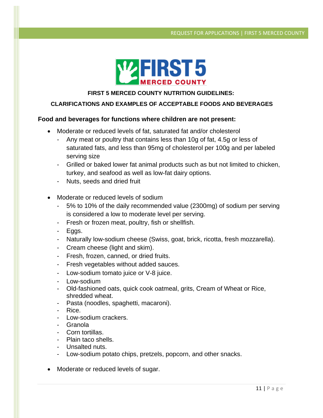

### **FIRST 5 MERCED COUNTY NUTRITION GUIDELINES:**

### **CLARIFICATIONS AND EXAMPLES OF ACCEPTABLE FOODS AND BEVERAGES**

### **Food and beverages for functions where children are not present:**

- Moderate or reduced levels of fat, saturated fat and/or cholesterol
	- Any meat or poultry that contains less than 10g of fat, 4.5g or less of saturated fats, and less than 95mg of cholesterol per 100g and per labeled serving size
	- Grilled or baked lower fat animal products such as but not limited to chicken, turkey, and seafood as well as low-fat dairy options.
	- Nuts, seeds and dried fruit
- Moderate or reduced levels of sodium
	- 5% to 10% of the daily recommended value (2300mg) of sodium per serving is considered a low to moderate level per serving.
	- Fresh or frozen meat, poultry, fish or shellfish.
	- Eggs.
	- Naturally low-sodium cheese (Swiss, goat, brick, ricotta, fresh mozzarella).
	- Cream cheese (light and skim).
	- Fresh, frozen, canned, or dried fruits.
	- Fresh vegetables without added sauces.
	- Low-sodium tomato juice or V-8 juice.
	- Low-sodium
	- Old-fashioned oats, quick cook oatmeal, grits, Cream of Wheat or Rice, shredded wheat.
	- Pasta (noodles, spaghetti, macaroni).
	- Rice.
	- Low-sodium crackers.
	- Granola
	- Corn tortillas.
	- Plain taco shells.
	- Unsalted nuts.
	- Low-sodium potato chips, pretzels, popcorn, and other snacks.
- Moderate or reduced levels of sugar.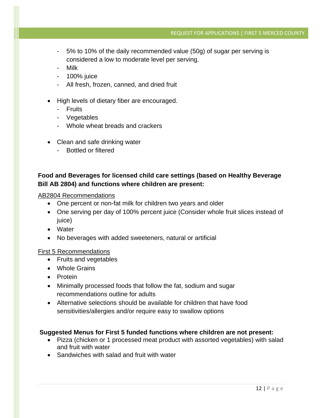- 5% to 10% of the daily recommended value (50g) of sugar per serving is considered a low to moderate level per serving.
- Milk
- 100% juice
- All fresh, frozen, canned, and dried fruit
- High levels of dietary fiber are encouraged.
	- Fruits
	- Vegetables
	- Whole wheat breads and crackers
- Clean and safe drinking water
	- Bottled or filtered

### **Food and Beverages for licensed child care settings (based on Healthy Beverage Bill AB 2804) and functions where children are present:**

### AB2804 Recommendations

- One percent or non-fat milk for children two years and older
- One serving per day of 100% percent juice (Consider whole fruit slices instead of juice)
- Water
- No beverages with added sweeteners, natural or artificial

### First 5 Recommendations

- Fruits and vegetables
- Whole Grains
- Protein
- Minimally processed foods that follow the fat, sodium and sugar recommendations outline for adults
- Alternative selections should be available for children that have food sensitivities/allergies and/or require easy to swallow options

### **Suggested Menus for First 5 funded functions where children are not present:**

- Pizza (chicken or 1 processed meat product with assorted vegetables) with salad and fruit with water
- Sandwiches with salad and fruit with water